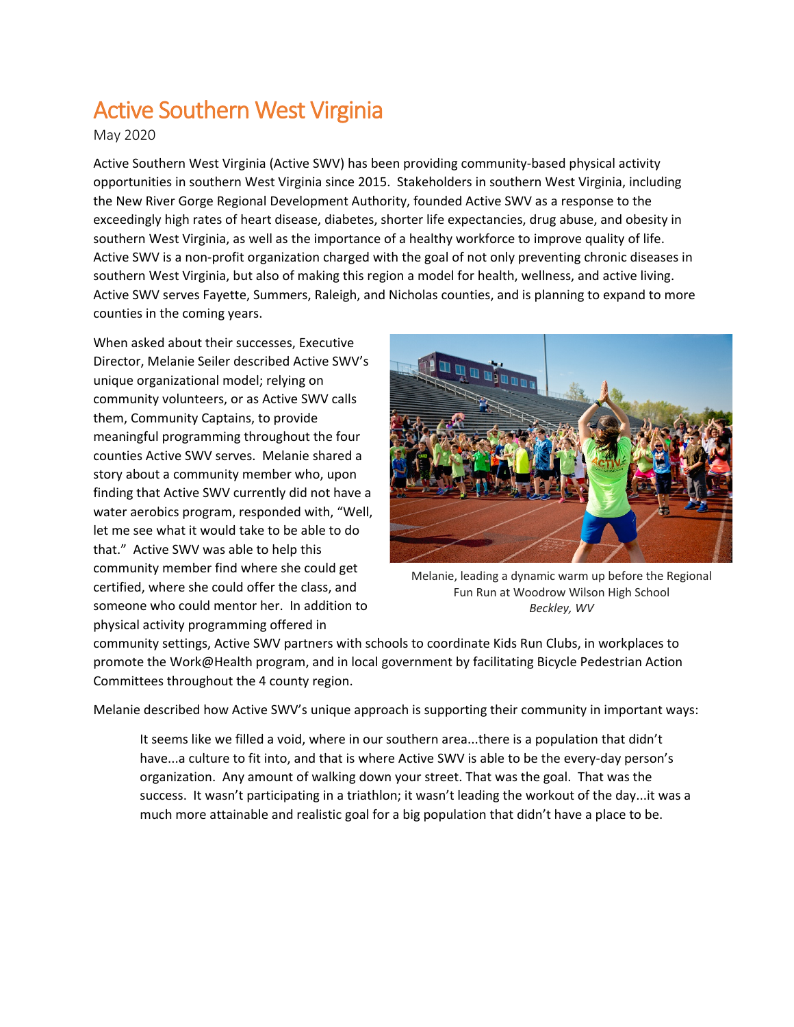## Active Southern West Virginia<br>May 2020

Active Southern West Virginia (Active SWV) has been providing community-based physical activity opportunities in southern West Virginia since 2015. Stakeholders in southern West Virginia, including the New River Gorge Regional Development Authority, founded Active SWV as a response to the exceedingly high rates of heart disease, diabetes, shorter life expectancies, drug abuse, and obesity in southern West Virginia, as well as the importance of a healthy workforce to improve quality of life. Active SWV is a non-profit organization charged with the goal of not only preventing chronic diseases in southern West Virginia, but also of making this region a model for health, wellness, and active living. Active SWV serves Fayette, Summers, Raleigh, and Nicholas counties, and is planning to expand to more counties in the coming years.

When asked about their successes, Executive Director, Melanie Seiler described Active SWV's unique organizational model; relying on community volunteers, or as Active SWV calls them, Community Captains, to provide meaningful programming throughout the four counties Active SWV serves. Melanie shared a story about a community member who, upon finding that Active SWV currently did not have a water aerobics program, responded with, "Well, let me see what it would take to be able to do that." Active SWV was able to help this community member find where she could get certified, where she could offer the class, and someone who could mentor her. In addition to physical activity programming offered in



Melanie, leading a dynamic warm up before the Regional Fun Run at Woodrow Wilson High School *Beckley, WV*

community settings, Active SWV partners with schools to coordinate Kids Run Clubs, in workplaces to promote the Work@Health program, and in local government by facilitating Bicycle Pedestrian Action Committees throughout the 4 county region.

Melanie described how Active SWV's unique approach is supporting their community in important ways:

It seems like we filled a void, where in our southern area...there is a population that didn't have...a culture to fit into, and that is where Active SWV is able to be the every-day person's organization. Any amount of walking down your street. That was the goal. That was the success. It wasn't participating in a triathlon; it wasn't leading the workout of the day...it was a much more attainable and realistic goal for a big population that didn't have a place to be.